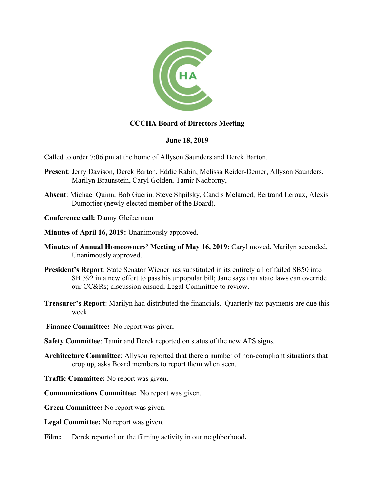

# **CCCHA Board of Directors Meeting**

# **June 18, 2019**

Called to order 7:06 pm at the home of Allyson Saunders and Derek Barton.

- **Present**: Jerry Davison, Derek Barton, Eddie Rabin, Melissa Reider-Demer, Allyson Saunders, Marilyn Braunstein, Caryl Golden, Tamir Nadborny,
- **Absent**: Michael Quinn, Bob Guerin, Steve Shpilsky, Candis Melamed, Bertrand Leroux, Alexis Dumortier (newly elected member of the Board).
- **Conference call:** Danny Gleiberman
- **Minutes of April 16, 2019:** Unanimously approved.
- **Minutes of Annual Homeowners' Meeting of May 16, 2019:** Caryl moved, Marilyn seconded, Unanimously approved.
- **President's Report**: State Senator Wiener has substituted in its entirety all of failed SB50 into SB 592 in a new effort to pass his unpopular bill; Jane says that state laws can override our CC&Rs; discussion ensued; Legal Committee to review.
- **Treasurer's Report**: Marilyn had distributed the financials. Quarterly tax payments are due this week.
- **Finance Committee:** No report was given.
- **Safety Committee**: Tamir and Derek reported on status of the new APS signs.
- **Architecture Committee**: Allyson reported that there a number of non-compliant situations that crop up, asks Board members to report them when seen.
- **Traffic Committee:** No report was given.
- **Communications Committee:** No report was given.
- **Green Committee:** No report was given.
- **Legal Committee:** No report was given.
- Film: Derek reported on the filming activity in our neighborhood.